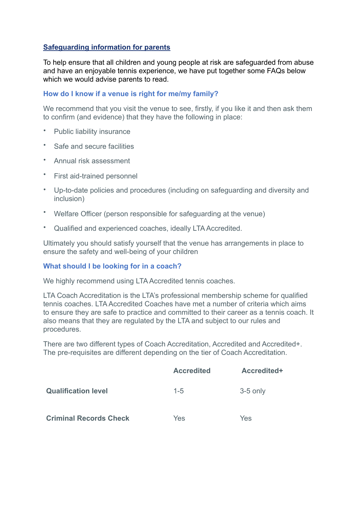# **Safeguarding information for parents**

To help ensure that all children and young people at risk are safeguarded from abuse and have an enjoyable tennis experience, we have put together some FAQs below which we would advise parents to read.

### **How do I know if a venue is right for me/my family?**

We recommend that you visit the venue to see, firstly, if you like it and then ask them to confirm (and evidence) that they have the following in place:

- Public liability insurance
- Safe and secure facilities
- Annual risk assessment
- First aid-trained personnel
- Up-to-date policies and procedures (including on safeguarding and diversity and inclusion)
- Welfare Officer (person responsible for safeguarding at the venue)
- Qualified and experienced coaches, ideally LTA Accredited.

Ultimately you should satisfy yourself that the venue has arrangements in place to ensure the safety and well-being of your children

### **What should I be looking for in a coach?**

We highly recommend using LTA Accredited tennis coaches.

LTA Coach Accreditation is the LTA's professional membership scheme for qualified tennis coaches. LTA Accredited Coaches have met a number of criteria which aims to ensure they are safe to practice and committed to their career as a tennis coach. It also means that they are regulated by the LTA and subject to our rules and procedures.

There are two different types of Coach Accreditation, Accredited and Accredited+. The pre-requisites are different depending on the tier of Coach Accreditation.

|                               | <b>Accredited</b> | Accredited+ |
|-------------------------------|-------------------|-------------|
| <b>Qualification level</b>    | $1 - 5$           | $3-5$ only  |
| <b>Criminal Records Check</b> | Yes               | Yes         |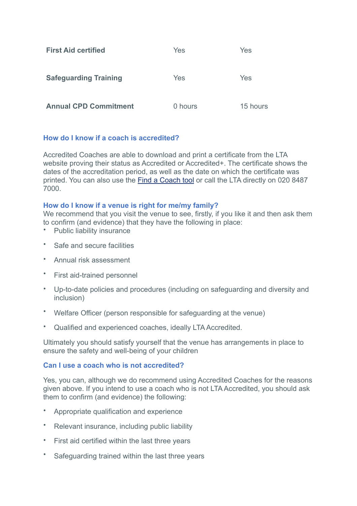| <b>First Aid certified</b>   | Yes     | Yes      |
|------------------------------|---------|----------|
| <b>Safeguarding Training</b> | Yes     | Yes      |
| <b>Annual CPD Commitment</b> | 0 hours | 15 hours |

# **How do I know if a coach is accredited?**

Accredited Coaches are able to download and print a certificate from the LTA website proving their status as Accredited or Accredited+. The certificate shows the dates of the accreditation period, as well as the date on which the certificate was printed. You can also use the [Find a Coach tool](https://www.lta.org.uk/play-compete/get-on-court/find-a-tennis-coach/) or call the LTA directly on 020 8487 7000.

### **How do I know if a venue is right for me/my family?**

We recommend that you visit the venue to see, firstly, if you like it and then ask them to confirm (and evidence) that they have the following in place:

- Public liability insurance
- Safe and secure facilities
- Annual risk assessment
- First aid-trained personnel
- Up-to-date policies and procedures (including on safeguarding and diversity and inclusion)
- Welfare Officer (person responsible for safeguarding at the venue)
- Qualified and experienced coaches, ideally LTA Accredited.

Ultimately you should satisfy yourself that the venue has arrangements in place to ensure the safety and well-being of your children

### **Can I use a coach who is not accredited?**

Yes, you can, although we do recommend using Accredited Coaches for the reasons given above. If you intend to use a coach who is not LTA Accredited, you should ask them to confirm (and evidence) the following:

- Appropriate qualification and experience
- Relevant insurance, including public liability
- First aid certified within the last three years
- Safeguarding trained within the last three years